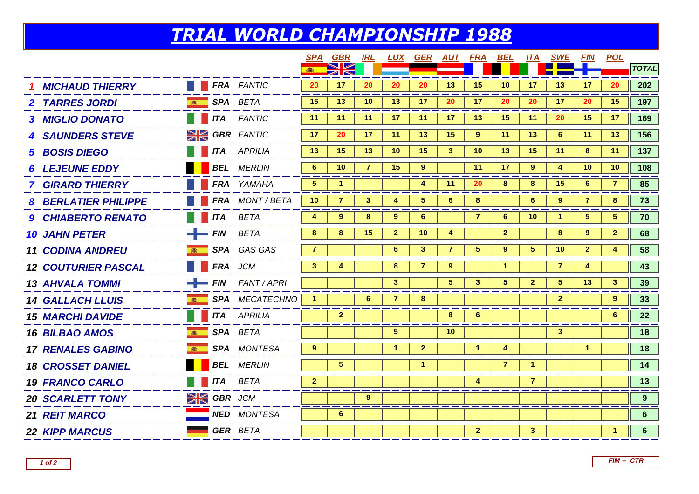## *TRIAL WORLD CHAMPIONSHIP 1988*

|                             |                   |                |                          | SPA                  | <b>GBR</b>     | <u>IRL</u>     | LUX            | <u>GER</u>      |                | <u>AUT FRA BEL</u>   |                      | ITA                  | SWE             | <b>FIN</b>     | <b>POL</b>      |                |
|-----------------------------|-------------------|----------------|--------------------------|----------------------|----------------|----------------|----------------|-----------------|----------------|----------------------|----------------------|----------------------|-----------------|----------------|-----------------|----------------|
|                             |                   |                |                          |                      | XK             |                |                |                 |                |                      |                      |                      |                 |                |                 | <b>TOTAL</b>   |
| <b>MICHAUD THIERRY</b>      |                   |                | <b>FRA FANTIC</b>        | 20                   | 17             | 20             | 20             | 20              | 13             | 15                   | 10                   | 17                   | 13              | 17             | 20              | 202            |
| <b>2 TARRES JORDI</b>       |                   |                | SPA BETA                 | 15                   | 13             | 10             | 13             | 17 <sub>2</sub> | 20             | 17                   | 20                   | 20                   | 17              | 20             | 15              | 197            |
| <b>3 MIGLIO DONATO</b>      |                   |                | <b>ITA</b> FANTIC        | 11                   | 11             | 11             | 17             | 11              | 17             | 13                   | 15                   | 11                   | 20              | 15             | 17              | 169            |
| <b>4 SAUNDERS STEVE</b>     |                   |                | <b>SIGBR FANTIC</b>      | 17                   | 20             | 17             | 11             | 13              | 15             | 9                    | 11                   | 13 <sup>°</sup>      | 6               | 11             | 13              | 156            |
| <b>5 BOSIS DIEGO</b>        |                   |                | <b>ITA</b> APRILIA       | 13                   | 15             | 13             | 10             | 15              | 3 <sup>2</sup> | 10                   | 13                   | 15                   | 11              | 8              | 11              | 137            |
| <b>LEJEUNE EDDY</b>         |                   |                | <b>BEL</b> MERLIN        | 6                    | 10             | $\overline{7}$ | 15             | $9^{\circ}$     |                | 11                   | 17                   | $9^{\circ}$          | 4               | 10             | 10 <sup>°</sup> | 108            |
| <b>7 GIRARD THIERRY</b>     |                   |                | FRA YAMAHA               | 5                    | 1              |                |                | 4               | 11             | 20                   | 8                    | 8                    | 15              | 6              | $\overline{7}$  | 85             |
| <b>8 BERLATIER PHILIPPE</b> |                   |                | FRA MONT/BETA            | 10                   | $\overline{7}$ | $\mathbf{3}$   | 4              | 5 <sup>5</sup>  | $6\phantom{1}$ | 8                    |                      | 6                    | $9^{\circ}$     | $\overline{7}$ | 8               | 73             |
| 9 CHIABERTO RENATO          |                   |                | <b>ITA BETA</b>          | 4                    | 9              | 8              | 9 <sup>°</sup> | 6 <sup>1</sup>  |                | $\overline{7}$       | $6\phantom{1}$       | 10                   | 1               | 5 <sup>5</sup> | 5 <sub>5</sub>  | 70             |
| <b>10 JAHN PETER</b>        | $-$ FIN BETA      |                |                          | 8                    | 8              | 15             | $\overline{2}$ | 10              | 4              |                      | $\mathbf{2}$         |                      | 8               | 9              | $\mathbf{2}$    | 68             |
| <b>11 CODINA ANDREU</b>     |                   |                | SPA GAS GAS              | $\overline{7}$       |                |                | 6              | 3 <sup>°</sup>  | $\overline{7}$ | $5\phantom{.0}$      | 9                    | 5 <sup>1</sup>       | 10 <sup>°</sup> | $\mathbf{2}$   | 4               | 58             |
| <b>12 COUTURIER PASCAL</b>  |                   | <b>FRA</b> JCM |                          | 3 <sup>2</sup>       | 4              |                | 8              | $\overline{7}$  | $9^{\circ}$    |                      | $\blacktriangleleft$ |                      | $\overline{7}$  | 4              |                 | 43             |
| <b>13 AHVALA TOMMI</b>      |                   |                | $\equiv$ FIN FANT / APRI |                      |                |                | 3 <sup>2</sup> |                 | 5 <sup>5</sup> | 3                    | 5                    | 2 <sup>1</sup>       | 5               | 13             | 3               | 39             |
| <b>14 GALLACH LLUIS</b>     |                   |                | SPA MECATECHNO           | $\blacktriangleleft$ |                | $6\phantom{1}$ | $\overline{7}$ | 8               |                |                      |                      |                      | $\mathbf{2}$    |                | 9               | 33             |
| <b>15 MARCHI DAVIDE</b>     |                   |                | <b>ITA</b> APRILIA       |                      | $\overline{2}$ |                |                |                 | 8              | $6\phantom{1}$       |                      |                      |                 |                | 6               | 22             |
| <b>16 BILBAO AMOS</b>       | 第一                |                | SPA BETA                 |                      |                |                | 5 <sup>5</sup> |                 | 10             |                      |                      |                      | 3 <sup>1</sup>  |                |                 | 18             |
| <b>17 RENALES GABINO</b>    | 高                 |                | SPA MONTESA              | 9                    |                |                |                | $\mathbf{2}$    |                | $\blacktriangleleft$ | 4                    |                      |                 | $\mathbf{1}$   |                 | 18             |
| <b>18 CROSSET DANIEL</b>    |                   |                | <b>BEL</b> MERLIN        |                      | $\sqrt{5}$     |                |                | $\mathbf{1}$    |                |                      | $\overline{7}$       | $\blacktriangleleft$ |                 |                |                 | 14             |
| <b>19 FRANCO CARLO</b>      |                   |                | <b>ITA</b> BETA          | $\overline{2}$       |                |                |                |                 |                | 4                    |                      | $\overline{7}$       |                 |                |                 | 13             |
| <b>20 SCARLETT TONY</b>     | <b>SK GBR</b> JCM |                |                          |                      |                | 9              |                |                 |                |                      |                      |                      |                 |                |                 | 9 <sup>°</sup> |
| <b>21 REIT MARCO</b>        |                   |                | <b>NED</b> MONTESA       |                      | $6\phantom{1}$ |                |                |                 |                |                      |                      |                      |                 |                |                 | 6 <sup>1</sup> |
| <b>22 KIPP MARCUS</b>       |                   |                | <b>GER BETA</b>          |                      |                |                |                |                 |                | $\mathbf{2}$         |                      | 3 <sup>1</sup>       |                 |                | -1              | 6 <sup>1</sup> |
|                             |                   |                |                          |                      |                |                |                |                 |                |                      |                      |                      |                 |                |                 |                |